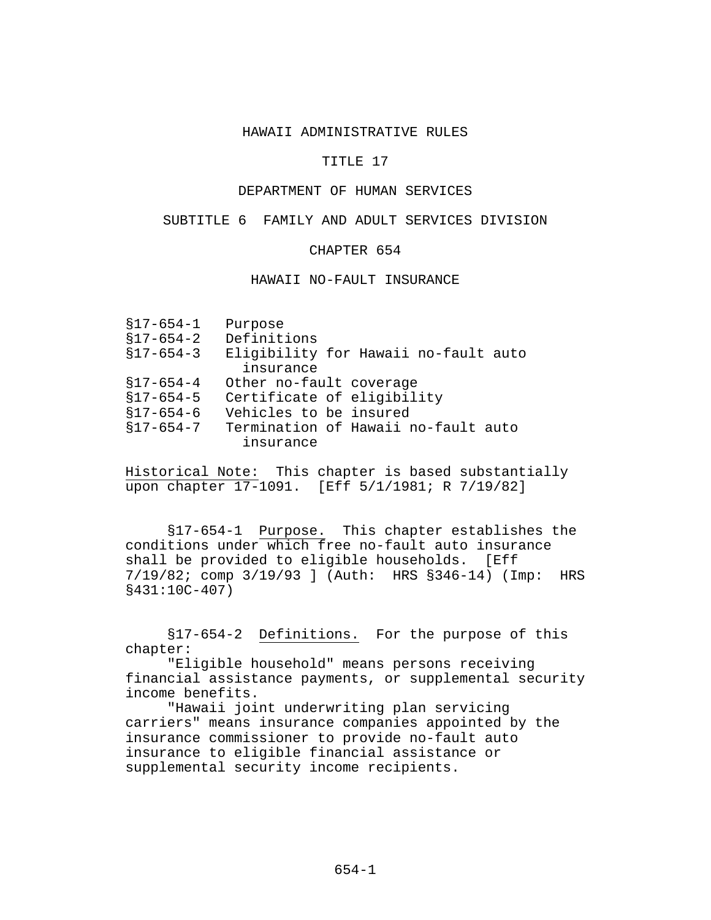#### HAWAII ADMINISTRATIVE RULES

## TITLE 17

# DEPARTMENT OF HUMAN SERVICES

### SUBTITLE 6 FAMILY AND ADULT SERVICES DIVISION

### CHAPTER 654

#### HAWAII NO-FAULT INSURANCE

| Purpose                              |
|--------------------------------------|
| Definitions                          |
| Eligibility for Hawaii no-fault auto |
| insurance                            |
| Other no-fault coverage              |
| Certificate of eligibility           |
| Vehicles to be insured               |
| Termination of Hawaii no-fault auto  |
| insurance                            |
|                                      |

Historical Note: This chapter is based substantially upon chapter 17-1091. [Eff 5/1/1981; R 7/19/82]

§17-654-1 Purpose. This chapter establishes the conditions under which free no-fault auto insurance shall be provided to eligible households. [Eff 7/19/82; comp 3/19/93 ] (Auth: HRS §346-14) (Imp: HRS §431:10C-407)

§17-654-2 Definitions. For the purpose of this chapter:

"Eligible household" means persons receiving financial assistance payments, or supplemental security income benefits.

"Hawaii joint underwriting plan servicing carriers" means insurance companies appointed by the insurance commissioner to provide no-fault auto insurance to eligible financial assistance or supplemental security income recipients.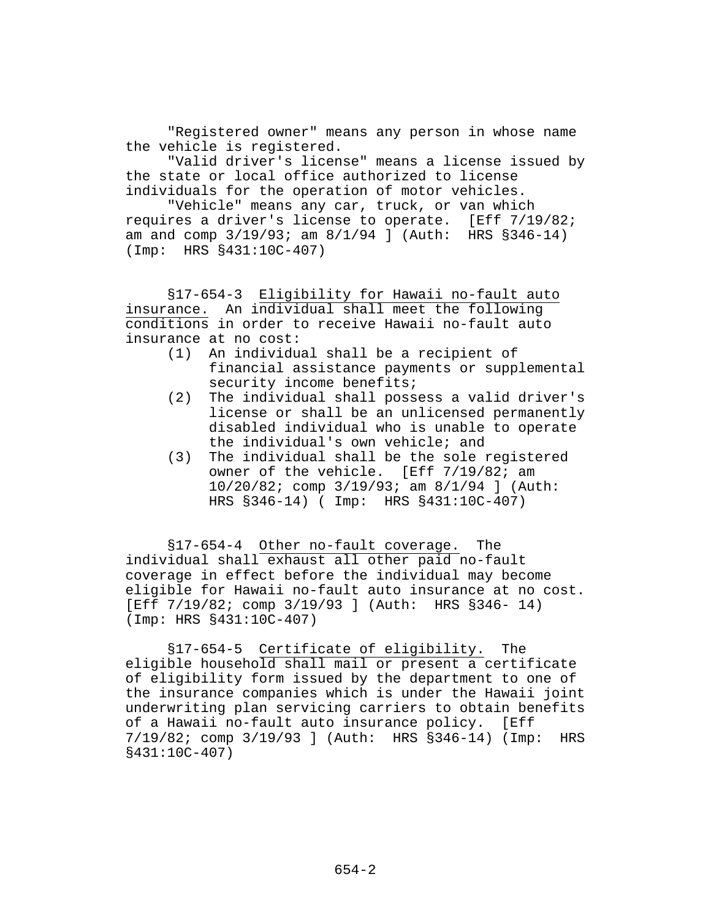"Registered owner" means any person in whose name the vehicle is registered.

"Valid driver's license" means a license issued by the state or local office authorized to license individuals for the operation of motor vehicles.

"Vehicle" means any car, truck, or van which requires a driver's license to operate. [Eff 7/19/82; am and comp 3/19/93; am 8/1/94 ] (Auth: HRS §346-14) (Imp: HRS §431:10C-407)

§17-654-3 Eligibility for Hawaii no-fault auto insurance. An individual shall meet the following conditions in order to receive Hawaii no-fault auto insurance at no cost:

- (1) An individual shall be a recipient of financial assistance payments or supplemental security income benefits;
- (2) The individual shall possess a valid driver's license or shall be an unlicensed permanently disabled individual who is unable to operate the individual's own vehicle; and
- (3) The individual shall be the sole registered owner of the vehicle. [Eff 7/19/82; am 10/20/82; comp 3/19/93; am 8/1/94 ] (Auth: HRS §346-14) ( Imp: HRS §431:10C-407)

§17-654-4 Other no-fault coverage. The individual shall exhaust all other paid no-fault coverage in effect before the individual may become eligible for Hawaii no-fault auto insurance at no cost. [Eff 7/19/82; comp 3/19/93 ] (Auth: HRS §346- 14) (Imp: HRS §431:10C-407)

§17-654-5 Certificate of eligibility. The eligible household shall mail or present a certificate of eligibility form issued by the department to one of the insurance companies which is under the Hawaii joint underwriting plan servicing carriers to obtain benefits of a Hawaii no-fault auto insurance policy. [Eff 7/19/82; comp 3/19/93 ] (Auth: HRS §346-14) (Imp: HRS §431:10C-407)